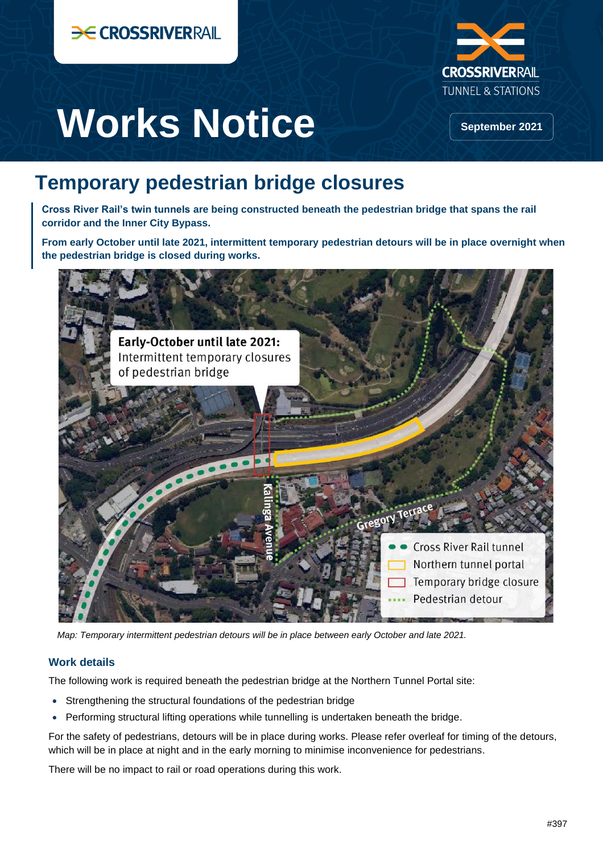



Works Notice **September 2021** 

# **Temporary pedestrian bridge closures**

**Cross River Rail's twin tunnels are being constructed beneath the pedestrian bridge that spans the rail corridor and the Inner City Bypass.**

**From early October until late 2021, intermittent temporary pedestrian detours will be in place overnight when the pedestrian bridge is closed during works.**



*Map: Temporary intermittent pedestrian detours will be in place between early October and late 2021.*

## **Work details**

The following work is required beneath the pedestrian bridge at the Northern Tunnel Portal site:

- Strengthening the structural foundations of the pedestrian bridge
- Performing structural lifting operations while tunnelling is undertaken beneath the bridge.

For the safety of pedestrians, detours will be in place during works. Please refer overleaf for timing of the detours, which will be in place at night and in the early morning to minimise inconvenience for pedestrians.

There will be no impact to rail or road operations during this work.